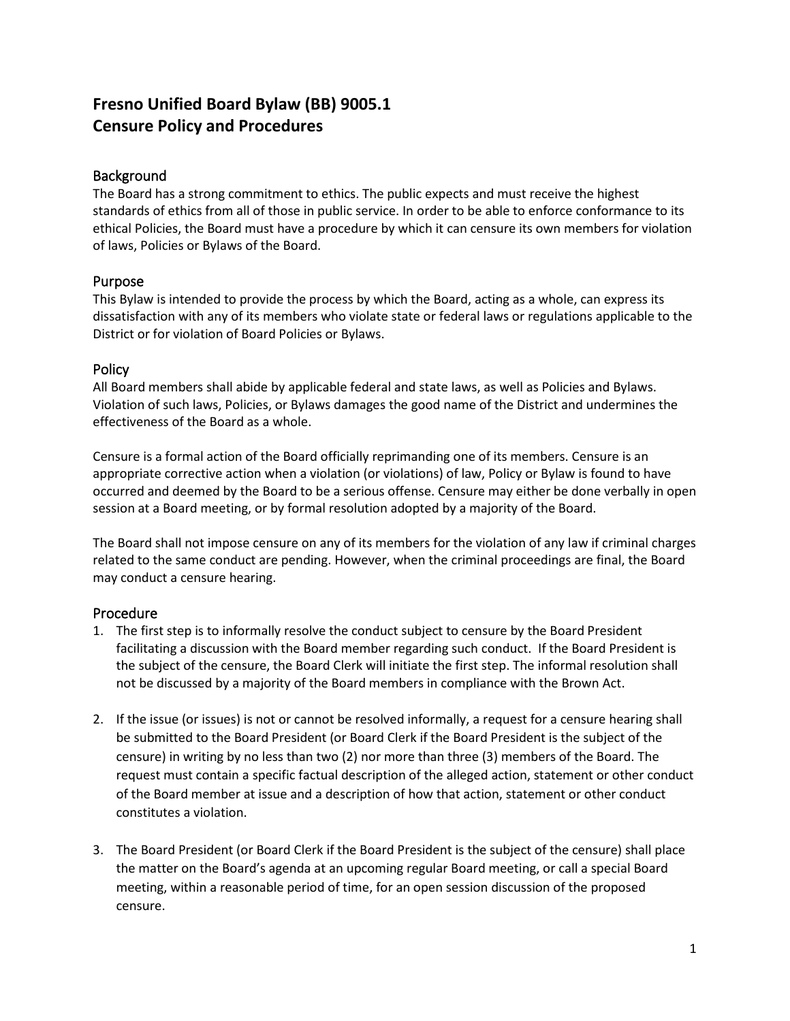# **Fresno Unified Board Bylaw (BB) 9005.1 Censure Policy and Procedures**

### **Background**

The Board has a strong commitment to ethics. The public expects and must receive the highest standards of ethics from all of those in public service. In order to be able to enforce conformance to its ethical Policies, the Board must have a procedure by which it can censure its own members for violation of laws, Policies or Bylaws of the Board.

#### Purpose

This Bylaw is intended to provide the process by which the Board, acting as a whole, can express its dissatisfaction with any of its members who violate state or federal laws or regulations applicable to the District or for violation of Board Policies or Bylaws.

#### **Policy**

All Board members shall abide by applicable federal and state laws, as well as Policies and Bylaws. Violation of such laws, Policies, or Bylaws damages the good name of the District and undermines the effectiveness of the Board as a whole.

Censure is a formal action of the Board officially reprimanding one of its members. Censure is an appropriate corrective action when a violation (or violations) of law, Policy or Bylaw is found to have occurred and deemed by the Board to be a serious offense. Censure may either be done verbally in open session at a Board meeting, or by formal resolution adopted by a majority of the Board.

The Board shall not impose censure on any of its members for the violation of any law if criminal charges related to the same conduct are pending. However, when the criminal proceedings are final, the Board may conduct a censure hearing.

## Procedure

- 1. The first step is to informally resolve the conduct subject to censure by the Board President facilitating a discussion with the Board member regarding such conduct. If the Board President is the subject of the censure, the Board Clerk will initiate the first step. The informal resolution shall not be discussed by a majority of the Board members in compliance with the Brown Act.
- 2. If the issue (or issues) is not or cannot be resolved informally, a request for a censure hearing shall be submitted to the Board President (or Board Clerk if the Board President is the subject of the censure) in writing by no less than two (2) nor more than three (3) members of the Board. The request must contain a specific factual description of the alleged action, statement or other conduct of the Board member at issue and a description of how that action, statement or other conduct constitutes a violation.
- 3. The Board President (or Board Clerk if the Board President is the subject of the censure) shall place the matter on the Board's agenda at an upcoming regular Board meeting, or call a special Board meeting, within a reasonable period of time, for an open session discussion of the proposed censure.